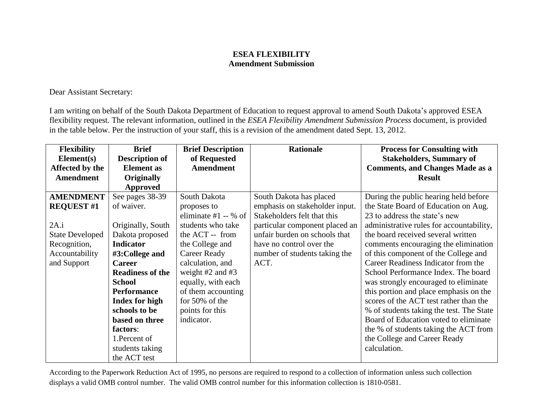## **ESEA FLEXIBILITY Amendment Submission**

Dear Assistant Secretary:

I am writing on behalf of the South Dakota Department of Education to request approval to amend South Dakota's approved ESEA flexibility request. The relevant information, outlined in the *ESEA Flexibility Amendment Submission Process* document, is provided in the table below. Per the instruction of your staff, this is a revision of the amendment dated Sept. 13, 2012.

| <b>Flexibility</b>     | <b>Brief</b>            | <b>Brief Description</b> | <b>Rationale</b>               | <b>Process for Consulting with</b>       |
|------------------------|-------------------------|--------------------------|--------------------------------|------------------------------------------|
| Element(s)             | <b>Description of</b>   | of Requested             |                                | <b>Stakeholders, Summary of</b>          |
| Affected by the        | <b>Element</b> as       | <b>Amendment</b>         |                                | <b>Comments, and Changes Made as a</b>   |
| <b>Amendment</b>       | <b>Originally</b>       |                          |                                | <b>Result</b>                            |
|                        | Approved                |                          |                                |                                          |
| <b>AMENDMENT</b>       | See pages 38-39         | South Dakota             | South Dakota has placed        | During the public hearing held before    |
| <b>REQUEST #1</b>      | of waiver.              | proposes to              | emphasis on stakeholder input. | the State Board of Education on Aug.     |
|                        |                         | eliminate #1 $-$ % of    | Stakeholders felt that this    | 23 to address the state's new            |
| 2A.i                   | Originally, South       | students who take        | particular component placed an | administrative rules for accountability, |
| <b>State Developed</b> | Dakota proposed         | the ACT -- from          | unfair burden on schools that  | the board received several written       |
| Recognition,           | <b>Indicator</b>        | the College and          | have no control over the       | comments encouraging the elimination     |
| Accountability         | #3:College and          | <b>Career Ready</b>      | number of students taking the  | of this component of the College and     |
| and Support            | <b>Career</b>           | calculation, and         | ACT.                           | Career Readiness Indicator from the      |
|                        | <b>Readiness of the</b> | weight $#2$ and $#3$     |                                | School Performance Index. The board      |
|                        | <b>School</b>           | equally, with each       |                                | was strongly encouraged to eliminate     |
|                        | <b>Performance</b>      | of them accounting       |                                | this portion and place emphasis on the   |
|                        | <b>Index for high</b>   | for 50% of the           |                                | scores of the ACT test rather than the   |
|                        | schools to be           | points for this          |                                | % of students taking the test. The State |
|                        | based on three          | indicator.               |                                | Board of Education voted to eliminate    |
|                        | factors:                |                          |                                | the % of students taking the ACT from    |
|                        | 1. Percent of           |                          |                                | the College and Career Ready             |
|                        | students taking         |                          |                                | calculation.                             |
|                        | the ACT test            |                          |                                |                                          |

According to the Paperwork Reduction Act of 1995, no persons are required to respond to a collection of information unless such collection displays a valid OMB control number. The valid OMB control number for this information collection is 1810-0581.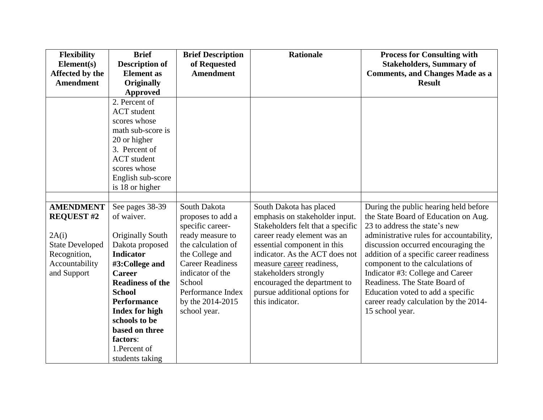| <b>Flexibility</b>     | <b>Brief</b>            | <b>Brief Description</b> | <b>Rationale</b>                  | <b>Process for Consulting with</b>       |
|------------------------|-------------------------|--------------------------|-----------------------------------|------------------------------------------|
| Element(s)             | <b>Description of</b>   | of Requested             |                                   | <b>Stakeholders, Summary of</b>          |
| Affected by the        | <b>Element</b> as       | <b>Amendment</b>         |                                   | <b>Comments, and Changes Made as a</b>   |
| <b>Amendment</b>       | <b>Originally</b>       |                          |                                   | <b>Result</b>                            |
|                        | <b>Approved</b>         |                          |                                   |                                          |
|                        | 2. Percent of           |                          |                                   |                                          |
|                        | <b>ACT</b> student      |                          |                                   |                                          |
|                        | scores whose            |                          |                                   |                                          |
|                        | math sub-score is       |                          |                                   |                                          |
|                        | 20 or higher            |                          |                                   |                                          |
|                        | 3. Percent of           |                          |                                   |                                          |
|                        | <b>ACT</b> student      |                          |                                   |                                          |
|                        | scores whose            |                          |                                   |                                          |
|                        | English sub-score       |                          |                                   |                                          |
|                        | is 18 or higher         |                          |                                   |                                          |
|                        |                         |                          |                                   |                                          |
| <b>AMENDMENT</b>       | See pages 38-39         | South Dakota             | South Dakota has placed           | During the public hearing held before    |
| <b>REQUEST #2</b>      | of waiver.              | proposes to add a        | emphasis on stakeholder input.    | the State Board of Education on Aug.     |
|                        |                         | specific career-         | Stakeholders felt that a specific | 23 to address the state's new            |
| 2A(i)                  | <b>Originally South</b> | ready measure to         | career ready element was an       | administrative rules for accountability, |
| <b>State Developed</b> | Dakota proposed         | the calculation of       | essential component in this       | discussion occurred encouraging the      |
| Recognition,           | <b>Indicator</b>        | the College and          | indicator. As the ACT does not    | addition of a specific career readiness  |
| Accountability         | #3:College and          | <b>Career Readiness</b>  | measure career readiness,         | component to the calculations of         |
| and Support            | <b>Career</b>           | indicator of the         | stakeholders strongly             | Indicator #3: College and Career         |
|                        | <b>Readiness of the</b> | School                   | encouraged the department to      | Readiness. The State Board of            |
|                        | <b>School</b>           | Performance Index        | pursue additional options for     | Education voted to add a specific        |
|                        | <b>Performance</b>      | by the 2014-2015         | this indicator.                   | career ready calculation by the 2014-    |
|                        | <b>Index for high</b>   | school year.             |                                   | 15 school year.                          |
|                        | schools to be           |                          |                                   |                                          |
|                        | based on three          |                          |                                   |                                          |
|                        | factors:                |                          |                                   |                                          |
|                        | 1. Percent of           |                          |                                   |                                          |
|                        | students taking         |                          |                                   |                                          |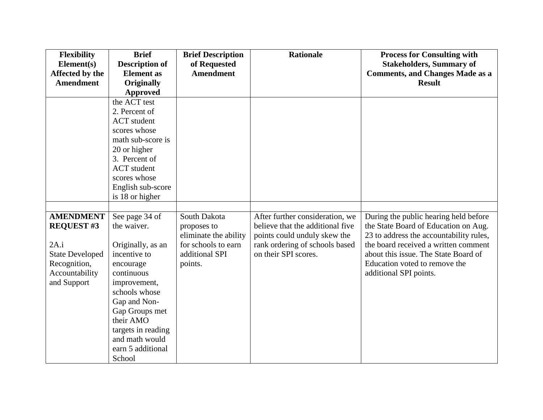| <b>Flexibility</b>     | <b>Brief</b>          | <b>Brief Description</b> | <b>Rationale</b>                 | <b>Process for Consulting with</b>      |
|------------------------|-----------------------|--------------------------|----------------------------------|-----------------------------------------|
| Element(s)             | <b>Description of</b> | of Requested             |                                  | <b>Stakeholders, Summary of</b>         |
| Affected by the        | <b>Element</b> as     | <b>Amendment</b>         |                                  | <b>Comments, and Changes Made as a</b>  |
| <b>Amendment</b>       | <b>Originally</b>     |                          |                                  | <b>Result</b>                           |
|                        | <b>Approved</b>       |                          |                                  |                                         |
|                        | the ACT test          |                          |                                  |                                         |
|                        | 2. Percent of         |                          |                                  |                                         |
|                        | <b>ACT</b> student    |                          |                                  |                                         |
|                        | scores whose          |                          |                                  |                                         |
|                        | math sub-score is     |                          |                                  |                                         |
|                        | 20 or higher          |                          |                                  |                                         |
|                        | 3. Percent of         |                          |                                  |                                         |
|                        | <b>ACT</b> student    |                          |                                  |                                         |
|                        | scores whose          |                          |                                  |                                         |
|                        | English sub-score     |                          |                                  |                                         |
|                        | is 18 or higher       |                          |                                  |                                         |
|                        |                       |                          |                                  |                                         |
| <b>AMENDMENT</b>       | See page 34 of        | South Dakota             | After further consideration, we  | During the public hearing held before   |
| <b>REQUEST#3</b>       | the waiver.           | proposes to              | believe that the additional five | the State Board of Education on Aug.    |
|                        |                       | eliminate the ability    | points could unduly skew the     | 23 to address the accountability rules, |
| 2A.i                   | Originally, as an     | for schools to earn      | rank ordering of schools based   | the board received a written comment    |
| <b>State Developed</b> | incentive to          | additional SPI           | on their SPI scores.             | about this issue. The State Board of    |
| Recognition,           | encourage             | points.                  |                                  | Education voted to remove the           |
| Accountability         | continuous            |                          |                                  | additional SPI points.                  |
| and Support            | improvement,          |                          |                                  |                                         |
|                        | schools whose         |                          |                                  |                                         |
|                        | Gap and Non-          |                          |                                  |                                         |
|                        | Gap Groups met        |                          |                                  |                                         |
|                        | their AMO             |                          |                                  |                                         |
|                        | targets in reading    |                          |                                  |                                         |
|                        | and math would        |                          |                                  |                                         |
|                        | earn 5 additional     |                          |                                  |                                         |
|                        | School                |                          |                                  |                                         |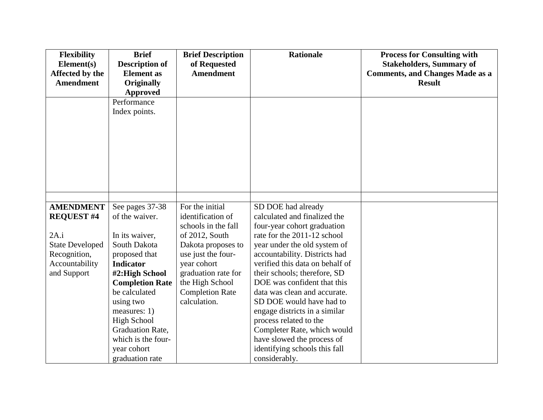| <b>Flexibility</b>            | <b>Brief</b>                               | <b>Brief Description</b>         | <b>Rationale</b>                                      | <b>Process for Consulting with</b>                                        |
|-------------------------------|--------------------------------------------|----------------------------------|-------------------------------------------------------|---------------------------------------------------------------------------|
| Element(s)<br>Affected by the | <b>Description of</b><br><b>Element</b> as | of Requested<br><b>Amendment</b> |                                                       | <b>Stakeholders, Summary of</b><br><b>Comments, and Changes Made as a</b> |
| <b>Amendment</b>              | <b>Originally</b>                          |                                  |                                                       | <b>Result</b>                                                             |
|                               | Approved                                   |                                  |                                                       |                                                                           |
|                               | Performance                                |                                  |                                                       |                                                                           |
|                               | Index points.                              |                                  |                                                       |                                                                           |
|                               |                                            |                                  |                                                       |                                                                           |
|                               |                                            |                                  |                                                       |                                                                           |
|                               |                                            |                                  |                                                       |                                                                           |
|                               |                                            |                                  |                                                       |                                                                           |
|                               |                                            |                                  |                                                       |                                                                           |
|                               |                                            |                                  |                                                       |                                                                           |
|                               |                                            |                                  |                                                       |                                                                           |
|                               |                                            |                                  |                                                       |                                                                           |
|                               |                                            |                                  |                                                       |                                                                           |
| <b>AMENDMENT</b>              | See pages 37-38                            | For the initial                  | SD DOE had already                                    |                                                                           |
| <b>REQUEST #4</b>             | of the waiver.                             | identification of                | calculated and finalized the                          |                                                                           |
|                               |                                            | schools in the fall              | four-year cohort graduation                           |                                                                           |
| 2A.i                          | In its waiver,                             | of 2012, South                   | rate for the 2011-12 school                           |                                                                           |
| <b>State Developed</b>        | South Dakota                               | Dakota proposes to               | year under the old system of                          |                                                                           |
| Recognition,                  | proposed that                              | use just the four-               | accountability. Districts had                         |                                                                           |
| Accountability                | <b>Indicator</b>                           | year cohort                      | verified this data on behalf of                       |                                                                           |
| and Support                   | #2:High School                             | graduation rate for              | their schools; therefore, SD                          |                                                                           |
|                               | <b>Completion Rate</b>                     | the High School                  | DOE was confident that this                           |                                                                           |
|                               | be calculated                              | <b>Completion Rate</b>           | data was clean and accurate.                          |                                                                           |
|                               | using two                                  | calculation.                     | SD DOE would have had to                              |                                                                           |
|                               | measures: $1)$                             |                                  | engage districts in a similar                         |                                                                           |
|                               | <b>High School</b><br>Graduation Rate,     |                                  | process related to the<br>Completer Rate, which would |                                                                           |
|                               | which is the four-                         |                                  | have slowed the process of                            |                                                                           |
|                               | year cohort                                |                                  | identifying schools this fall                         |                                                                           |
|                               |                                            |                                  |                                                       |                                                                           |
|                               | graduation rate                            |                                  | considerably.                                         |                                                                           |